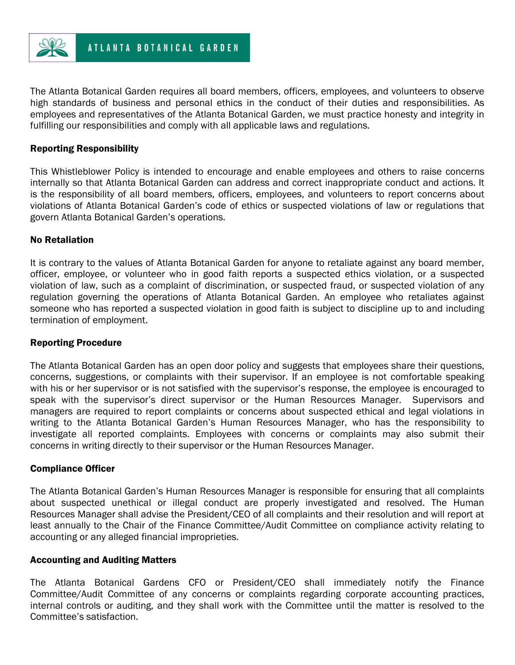

The Atlanta Botanical Garden requires all board members, officers, employees, and volunteers to observe high standards of business and personal ethics in the conduct of their duties and responsibilities. As employees and representatives of the Atlanta Botanical Garden, we must practice honesty and integrity in fulfilling our responsibilities and comply with all applicable laws and regulations.

# Reporting Responsibility

This Whistleblower Policy is intended to encourage and enable employees and others to raise concerns internally so that Atlanta Botanical Garden can address and correct inappropriate conduct and actions. It is the responsibility of all board members, officers, employees, and volunteers to report concerns about violations of Atlanta Botanical Garden's code of ethics or suspected violations of law or regulations that govern Atlanta Botanical Garden's operations.

#### No Retaliation

It is contrary to the values of Atlanta Botanical Garden for anyone to retaliate against any board member, officer, employee, or volunteer who in good faith reports a suspected ethics violation, or a suspected violation of law, such as a complaint of discrimination, or suspected fraud, or suspected violation of any regulation governing the operations of Atlanta Botanical Garden. An employee who retaliates against someone who has reported a suspected violation in good faith is subject to discipline up to and including termination of employment.

# Reporting Procedure

The Atlanta Botanical Garden has an open door policy and suggests that employees share their questions, concerns, suggestions, or complaints with their supervisor. If an employee is not comfortable speaking with his or her supervisor or is not satisfied with the supervisor's response, the employee is encouraged to speak with the supervisor's direct supervisor or the Human Resources Manager. Supervisors and managers are required to report complaints or concerns about suspected ethical and legal violations in writing to the Atlanta Botanical Garden's Human Resources Manager, who has the responsibility to investigate all reported complaints. Employees with concerns or complaints may also submit their concerns in writing directly to their supervisor or the Human Resources Manager.

#### Compliance Officer

The Atlanta Botanical Garden's Human Resources Manager is responsible for ensuring that all complaints about suspected unethical or illegal conduct are properly investigated and resolved. The Human Resources Manager shall advise the President/CEO of all complaints and their resolution and will report at least annually to the Chair of the Finance Committee/Audit Committee on compliance activity relating to accounting or any alleged financial improprieties.

#### Accounting and Auditing Matters

The Atlanta Botanical Gardens CFO or President/CEO shall immediately notify the Finance Committee/Audit Committee of any concerns or complaints regarding corporate accounting practices, internal controls or auditing, and they shall work with the Committee until the matter is resolved to the Committee's satisfaction.